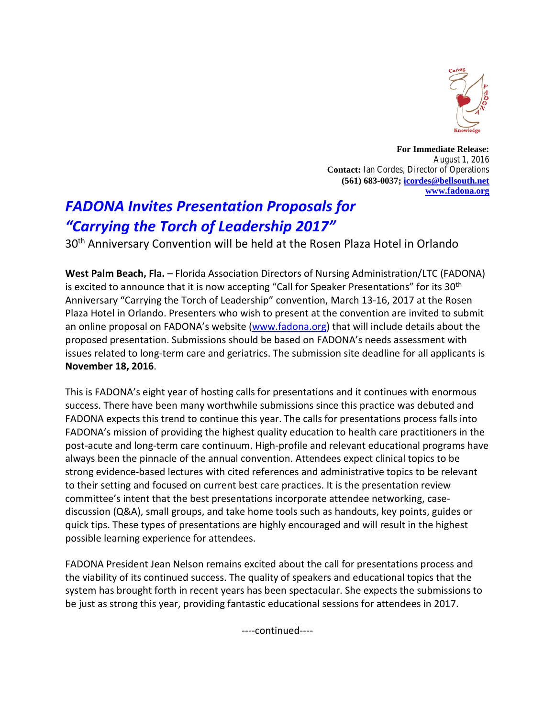

**For Immediate Release:** August 1, 2016 **Contact:** Ian Cordes, Director of Operations **(561) 683-0037; [icordes@bellsouth.net](mailto:icordes@bellsouth.net) [www.fadona.org](http://www.fadona.org/)**

## *FADONA Invites Presentation Proposals for "Carrying the Torch of Leadership 2017"*

30th Anniversary Convention will be held at the Rosen Plaza Hotel in Orlando

**West Palm Beach, Fla.** – Florida Association Directors of Nursing Administration/LTC (FADONA) is excited to announce that it is now accepting "Call for Speaker Presentations" for its  $30<sup>th</sup>$ Anniversary "Carrying the Torch of Leadership" convention, March 13-16, 2017 at the Rosen Plaza Hotel in Orlando. Presenters who wish to present at the convention are invited to submit an online proposal on FADONA's website [\(www.fadona.org\)](http://www.fadona.org/) that will include details about the proposed presentation. Submissions should be based on FADONA's needs assessment with issues related to long-term care and geriatrics. The submission site deadline for all applicants is **November 18, 2016**.

This is FADONA's eight year of hosting calls for presentations and it continues with enormous success. There have been many worthwhile submissions since this practice was debuted and FADONA expects this trend to continue this year. The calls for presentations process falls into FADONA's mission of providing the highest quality education to health care practitioners in the post-acute and long-term care continuum. High-profile and relevant educational programs have always been the pinnacle of the annual convention. Attendees expect clinical topics to be strong evidence-based lectures with cited references and administrative topics to be relevant to their setting and focused on current best care practices. It is the presentation review committee's intent that the best presentations incorporate attendee networking, casediscussion (Q&A), small groups, and take home tools such as handouts, key points, guides or quick tips. These types of presentations are highly encouraged and will result in the highest possible learning experience for attendees.

FADONA President Jean Nelson remains excited about the call for presentations process and the viability of its continued success. The quality of speakers and educational topics that the system has brought forth in recent years has been spectacular. She expects the submissions to be just as strong this year, providing fantastic educational sessions for attendees in 2017.

----continued----